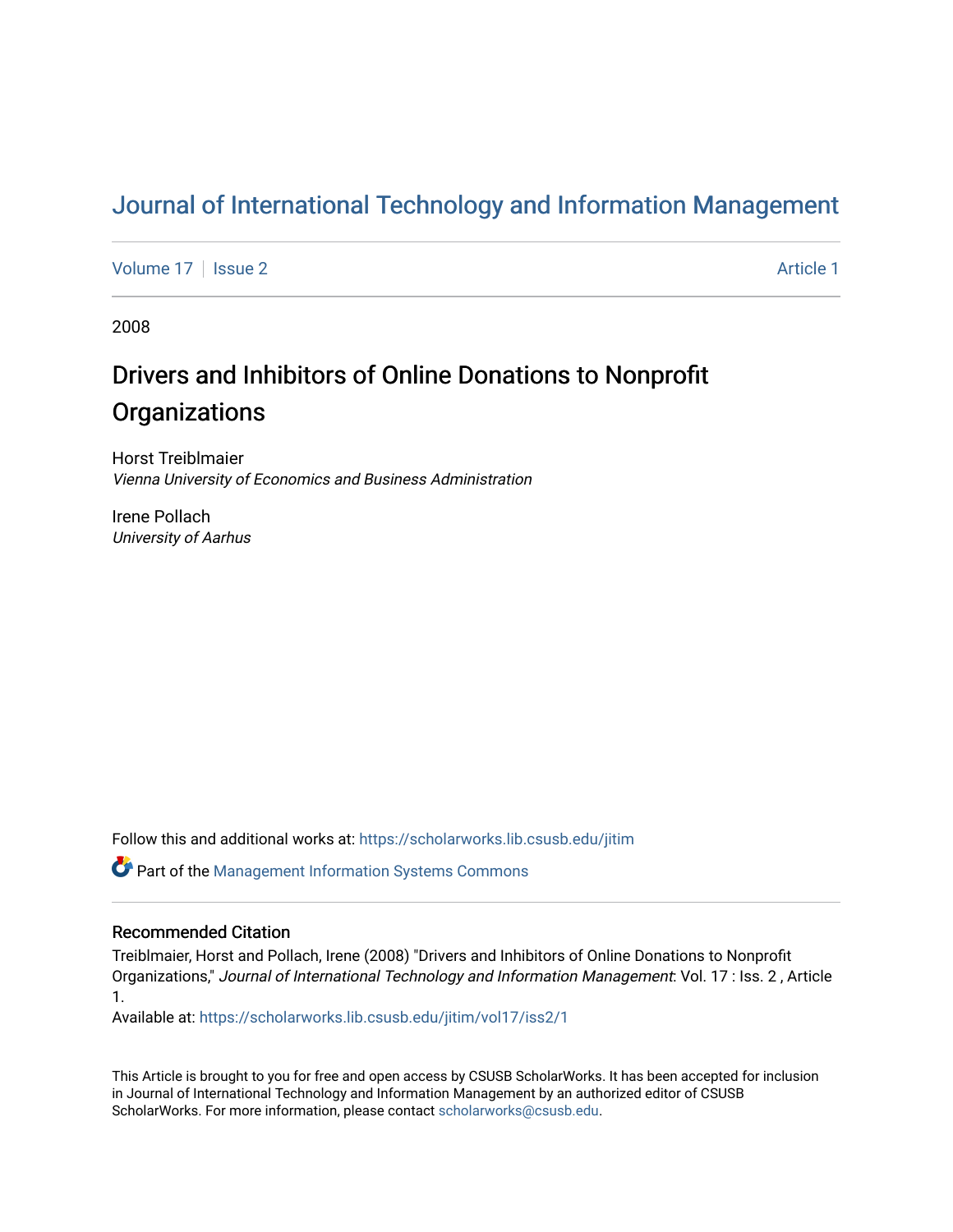## [Journal of International Technology and Information Management](https://scholarworks.lib.csusb.edu/jitim)

[Volume 17](https://scholarworks.lib.csusb.edu/jitim/vol17) | [Issue 2](https://scholarworks.lib.csusb.edu/jitim/vol17/iss2) Article 1

2008

# Drivers and Inhibitors of Online Donations to Nonprofit **Organizations**

Horst Treiblmaier Vienna University of Economics and Business Administration

Irene Pollach University of Aarhus

Follow this and additional works at: [https://scholarworks.lib.csusb.edu/jitim](https://scholarworks.lib.csusb.edu/jitim?utm_source=scholarworks.lib.csusb.edu%2Fjitim%2Fvol17%2Fiss2%2F1&utm_medium=PDF&utm_campaign=PDFCoverPages) 

Part of the [Management Information Systems Commons](http://network.bepress.com/hgg/discipline/636?utm_source=scholarworks.lib.csusb.edu%2Fjitim%2Fvol17%2Fiss2%2F1&utm_medium=PDF&utm_campaign=PDFCoverPages) 

#### Recommended Citation

Treiblmaier, Horst and Pollach, Irene (2008) "Drivers and Inhibitors of Online Donations to Nonprofit Organizations," Journal of International Technology and Information Management: Vol. 17 : Iss. 2 , Article 1.

Available at: [https://scholarworks.lib.csusb.edu/jitim/vol17/iss2/1](https://scholarworks.lib.csusb.edu/jitim/vol17/iss2/1?utm_source=scholarworks.lib.csusb.edu%2Fjitim%2Fvol17%2Fiss2%2F1&utm_medium=PDF&utm_campaign=PDFCoverPages) 

This Article is brought to you for free and open access by CSUSB ScholarWorks. It has been accepted for inclusion in Journal of International Technology and Information Management by an authorized editor of CSUSB ScholarWorks. For more information, please contact [scholarworks@csusb.edu.](mailto:scholarworks@csusb.edu)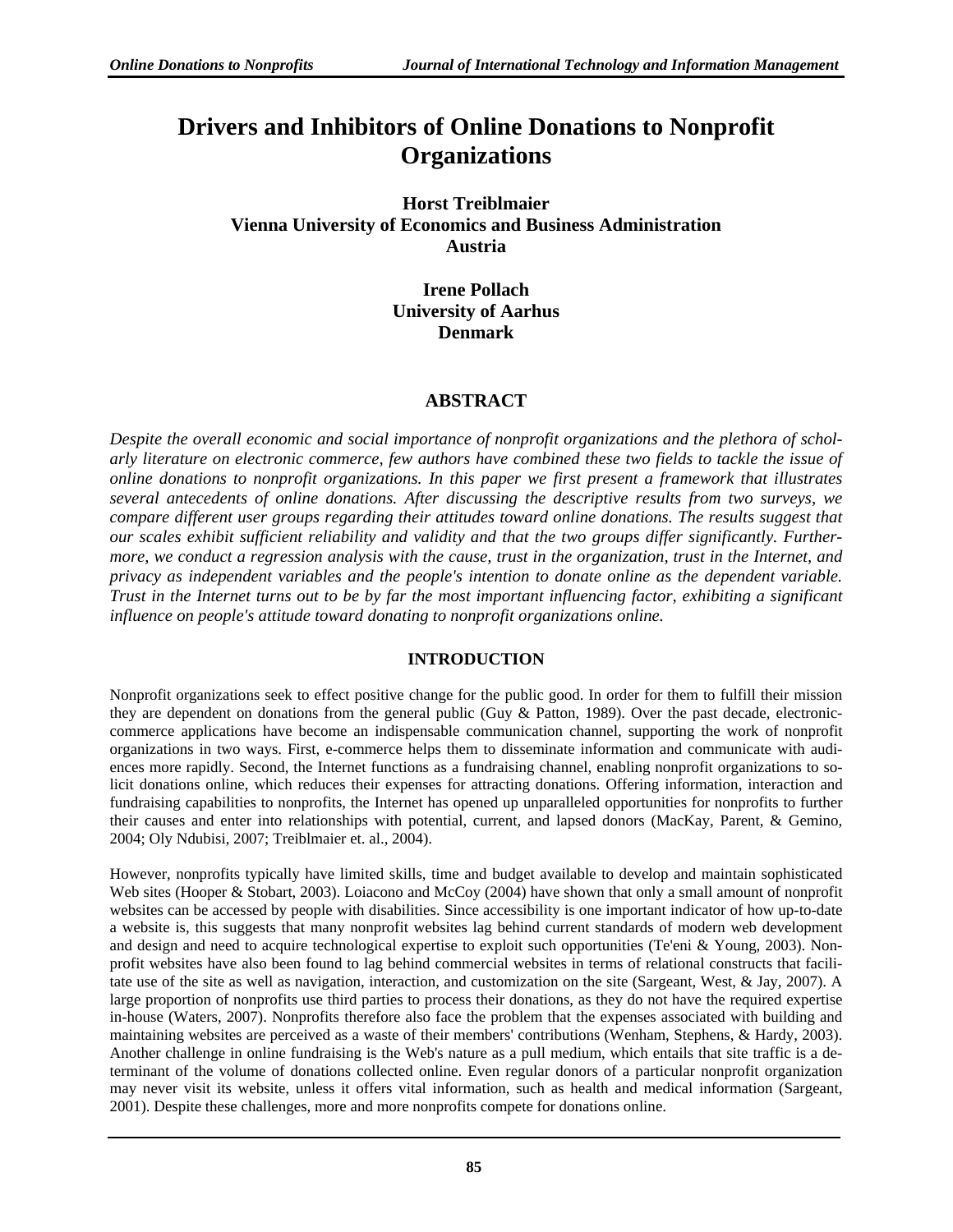## **Drivers and Inhibitors of Online Donations to Nonprofit Organizations**

**Horst Treiblmaier Vienna University of Economics and Business Administration Austria** 

> **Irene Pollach University of Aarhus Denmark**

## **ABSTRACT**

*Despite the overall economic and social importance of nonprofit organizations and the plethora of scholarly literature on electronic commerce, few authors have combined these two fields to tackle the issue of online donations to nonprofit organizations. In this paper we first present a framework that illustrates several antecedents of online donations. After discussing the descriptive results from two surveys, we compare different user groups regarding their attitudes toward online donations. The results suggest that our scales exhibit sufficient reliability and validity and that the two groups differ significantly. Furthermore, we conduct a regression analysis with the cause, trust in the organization, trust in the Internet, and privacy as independent variables and the people's intention to donate online as the dependent variable. Trust in the Internet turns out to be by far the most important influencing factor, exhibiting a significant influence on people's attitude toward donating to nonprofit organizations online.*

## **INTRODUCTION**

Nonprofit organizations seek to effect positive change for the public good. In order for them to fulfill their mission they are dependent on donations from the general public (Guy & Patton, 1989). Over the past decade, electroniccommerce applications have become an indispensable communication channel, supporting the work of nonprofit organizations in two ways. First, e-commerce helps them to disseminate information and communicate with audiences more rapidly. Second, the Internet functions as a fundraising channel, enabling nonprofit organizations to solicit donations online, which reduces their expenses for attracting donations. Offering information, interaction and fundraising capabilities to nonprofits, the Internet has opened up unparalleled opportunities for nonprofits to further their causes and enter into relationships with potential, current, and lapsed donors (MacKay, Parent, & Gemino, 2004; Oly Ndubisi, 2007; Treiblmaier et. al., 2004).

However, nonprofits typically have limited skills, time and budget available to develop and maintain sophisticated Web sites (Hooper & Stobart, 2003). Loiacono and McCoy (2004) have shown that only a small amount of nonprofit websites can be accessed by people with disabilities. Since accessibility is one important indicator of how up-to-date a website is, this suggests that many nonprofit websites lag behind current standards of modern web development and design and need to acquire technological expertise to exploit such opportunities (Te'eni & Young, 2003). Nonprofit websites have also been found to lag behind commercial websites in terms of relational constructs that facilitate use of the site as well as navigation, interaction, and customization on the site (Sargeant, West, & Jay, 2007). A large proportion of nonprofits use third parties to process their donations, as they do not have the required expertise in-house (Waters, 2007). Nonprofits therefore also face the problem that the expenses associated with building and maintaining websites are perceived as a waste of their members' contributions (Wenham, Stephens, & Hardy, 2003). Another challenge in online fundraising is the Web's nature as a pull medium, which entails that site traffic is a determinant of the volume of donations collected online. Even regular donors of a particular nonprofit organization may never visit its website, unless it offers vital information, such as health and medical information (Sargeant, 2001). Despite these challenges, more and more nonprofits compete for donations online.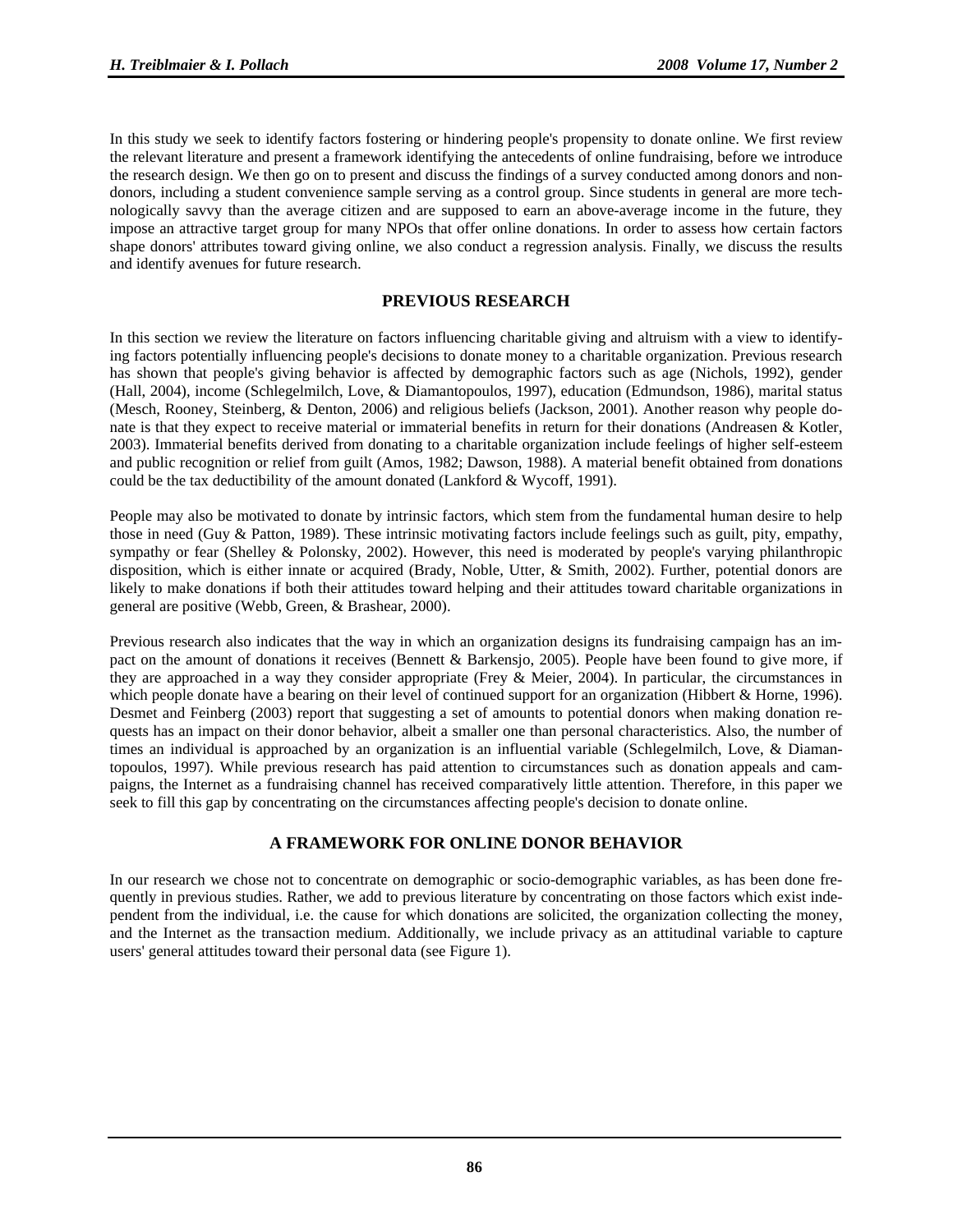In this study we seek to identify factors fostering or hindering people's propensity to donate online. We first review the relevant literature and present a framework identifying the antecedents of online fundraising, before we introduce the research design. We then go on to present and discuss the findings of a survey conducted among donors and nondonors, including a student convenience sample serving as a control group. Since students in general are more technologically savvy than the average citizen and are supposed to earn an above-average income in the future, they impose an attractive target group for many NPOs that offer online donations. In order to assess how certain factors shape donors' attributes toward giving online, we also conduct a regression analysis. Finally, we discuss the results and identify avenues for future research.

## **PREVIOUS RESEARCH**

In this section we review the literature on factors influencing charitable giving and altruism with a view to identifying factors potentially influencing people's decisions to donate money to a charitable organization. Previous research has shown that people's giving behavior is affected by demographic factors such as age (Nichols, 1992), gender (Hall, 2004), income (Schlegelmilch, Love, & Diamantopoulos, 1997), education (Edmundson, 1986), marital status (Mesch, Rooney, Steinberg, & Denton, 2006) and religious beliefs (Jackson, 2001). Another reason why people donate is that they expect to receive material or immaterial benefits in return for their donations (Andreasen & Kotler, 2003). Immaterial benefits derived from donating to a charitable organization include feelings of higher self-esteem and public recognition or relief from guilt (Amos, 1982; Dawson, 1988). A material benefit obtained from donations could be the tax deductibility of the amount donated (Lankford & Wycoff, 1991).

People may also be motivated to donate by intrinsic factors, which stem from the fundamental human desire to help those in need (Guy & Patton, 1989). These intrinsic motivating factors include feelings such as guilt, pity, empathy, sympathy or fear (Shelley & Polonsky, 2002). However, this need is moderated by people's varying philanthropic disposition, which is either innate or acquired (Brady, Noble, Utter, & Smith, 2002). Further, potential donors are likely to make donations if both their attitudes toward helping and their attitudes toward charitable organizations in general are positive (Webb, Green, & Brashear, 2000).

Previous research also indicates that the way in which an organization designs its fundraising campaign has an impact on the amount of donations it receives (Bennett & Barkensjo, 2005). People have been found to give more, if they are approached in a way they consider appropriate (Frey  $\&$  Meier, 2004). In particular, the circumstances in which people donate have a bearing on their level of continued support for an organization (Hibbert & Horne, 1996). Desmet and Feinberg (2003) report that suggesting a set of amounts to potential donors when making donation requests has an impact on their donor behavior, albeit a smaller one than personal characteristics. Also, the number of times an individual is approached by an organization is an influential variable (Schlegelmilch, Love, & Diamantopoulos, 1997). While previous research has paid attention to circumstances such as donation appeals and campaigns, the Internet as a fundraising channel has received comparatively little attention. Therefore, in this paper we seek to fill this gap by concentrating on the circumstances affecting people's decision to donate online.

#### **A FRAMEWORK FOR ONLINE DONOR BEHAVIOR**

In our research we chose not to concentrate on demographic or socio-demographic variables, as has been done frequently in previous studies. Rather, we add to previous literature by concentrating on those factors which exist independent from the individual, i.e. the cause for which donations are solicited, the organization collecting the money, and the Internet as the transaction medium. Additionally, we include privacy as an attitudinal variable to capture users' general attitudes toward their personal data (see Figure 1).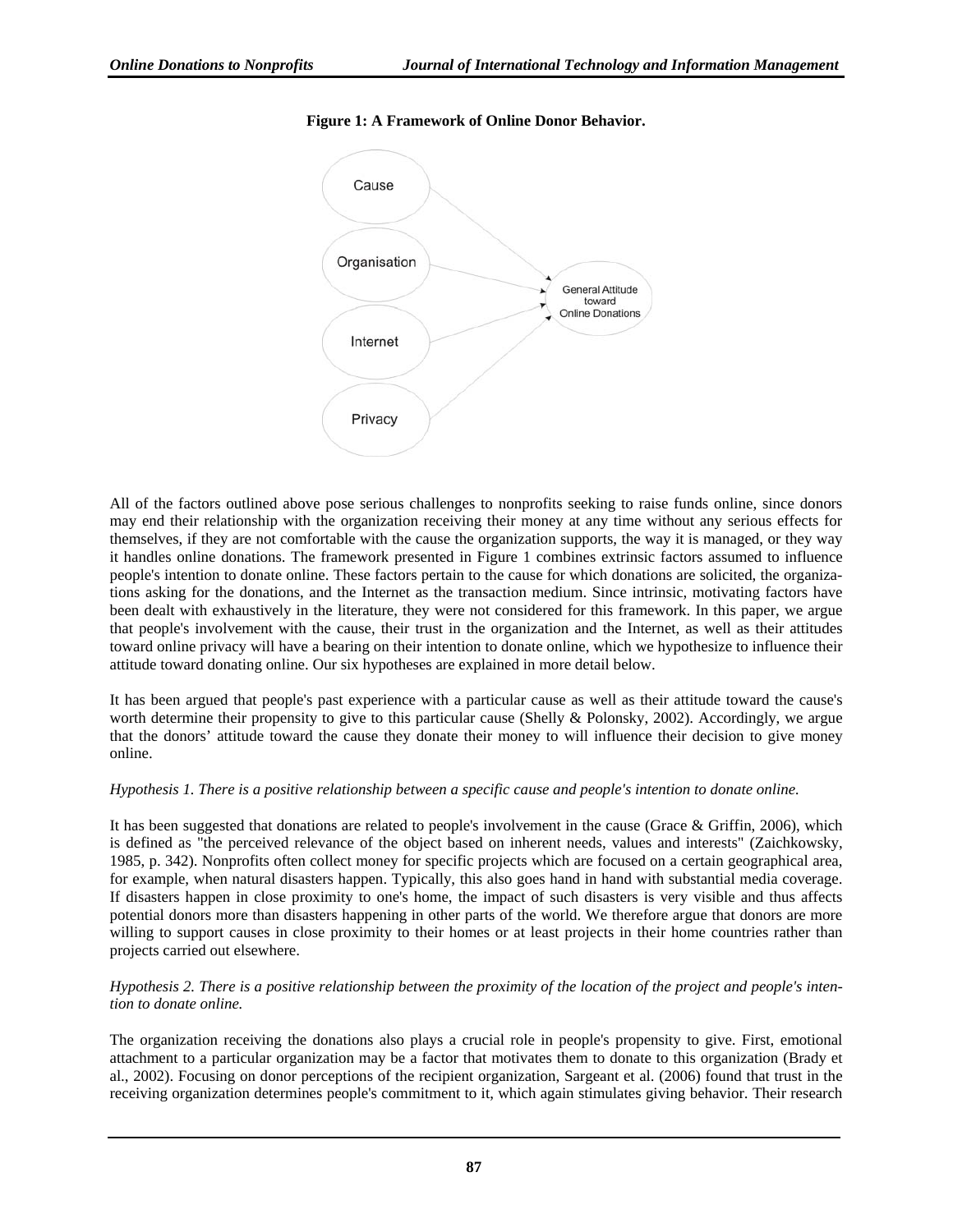

#### **Figure 1: A Framework of Online Donor Behavior.**

All of the factors outlined above pose serious challenges to nonprofits seeking to raise funds online, since donors may end their relationship with the organization receiving their money at any time without any serious effects for themselves, if they are not comfortable with the cause the organization supports, the way it is managed, or they way it handles online donations. The framework presented in Figure 1 combines extrinsic factors assumed to influence people's intention to donate online. These factors pertain to the cause for which donations are solicited, the organizations asking for the donations, and the Internet as the transaction medium. Since intrinsic, motivating factors have been dealt with exhaustively in the literature, they were not considered for this framework. In this paper, we argue that people's involvement with the cause, their trust in the organization and the Internet, as well as their attitudes toward online privacy will have a bearing on their intention to donate online, which we hypothesize to influence their attitude toward donating online. Our six hypotheses are explained in more detail below.

It has been argued that people's past experience with a particular cause as well as their attitude toward the cause's worth determine their propensity to give to this particular cause (Shelly & Polonsky, 2002). Accordingly, we argue that the donors' attitude toward the cause they donate their money to will influence their decision to give money online.

#### *Hypothesis 1. There is a positive relationship between a specific cause and people's intention to donate online.*

It has been suggested that donations are related to people's involvement in the cause (Grace & Griffin, 2006), which is defined as "the perceived relevance of the object based on inherent needs, values and interests" (Zaichkowsky, 1985, p. 342). Nonprofits often collect money for specific projects which are focused on a certain geographical area, for example, when natural disasters happen. Typically, this also goes hand in hand with substantial media coverage. If disasters happen in close proximity to one's home, the impact of such disasters is very visible and thus affects potential donors more than disasters happening in other parts of the world. We therefore argue that donors are more willing to support causes in close proximity to their homes or at least projects in their home countries rather than projects carried out elsewhere.

#### *Hypothesis 2. There is a positive relationship between the proximity of the location of the project and people's intention to donate online.*

The organization receiving the donations also plays a crucial role in people's propensity to give. First, emotional attachment to a particular organization may be a factor that motivates them to donate to this organization (Brady et al., 2002). Focusing on donor perceptions of the recipient organization, Sargeant et al. (2006) found that trust in the receiving organization determines people's commitment to it, which again stimulates giving behavior. Their research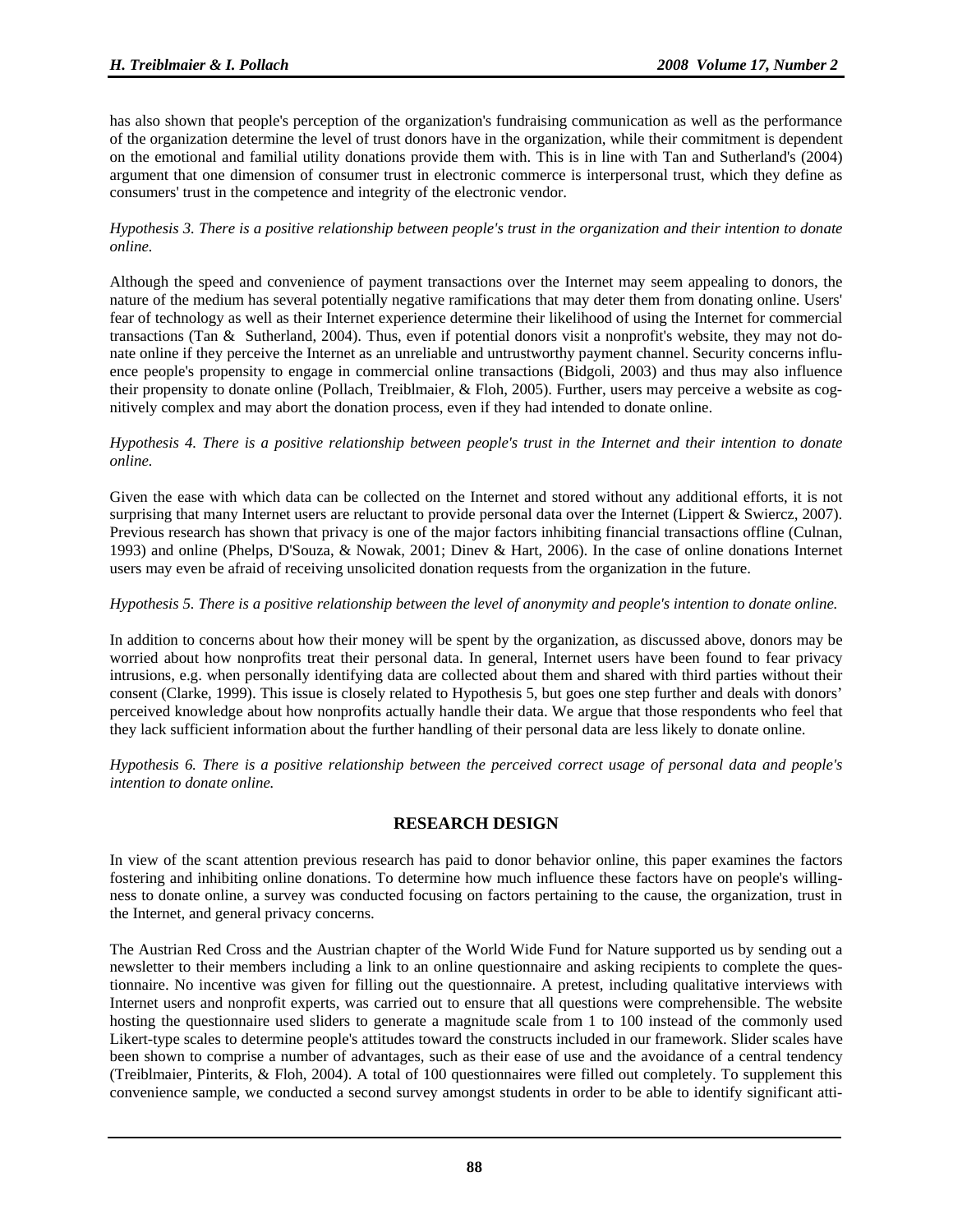has also shown that people's perception of the organization's fundraising communication as well as the performance of the organization determine the level of trust donors have in the organization, while their commitment is dependent on the emotional and familial utility donations provide them with. This is in line with Tan and Sutherland's (2004) argument that one dimension of consumer trust in electronic commerce is interpersonal trust, which they define as consumers' trust in the competence and integrity of the electronic vendor.

#### *Hypothesis 3. There is a positive relationship between people's trust in the organization and their intention to donate online.*

Although the speed and convenience of payment transactions over the Internet may seem appealing to donors, the nature of the medium has several potentially negative ramifications that may deter them from donating online. Users' fear of technology as well as their Internet experience determine their likelihood of using the Internet for commercial transactions (Tan & Sutherland, 2004). Thus, even if potential donors visit a nonprofit's website, they may not donate online if they perceive the Internet as an unreliable and untrustworthy payment channel. Security concerns influence people's propensity to engage in commercial online transactions (Bidgoli, 2003) and thus may also influence their propensity to donate online (Pollach, Treiblmaier, & Floh, 2005). Further, users may perceive a website as cognitively complex and may abort the donation process, even if they had intended to donate online.

#### *Hypothesis 4. There is a positive relationship between people's trust in the Internet and their intention to donate online.*

Given the ease with which data can be collected on the Internet and stored without any additional efforts, it is not surprising that many Internet users are reluctant to provide personal data over the Internet (Lippert & Swiercz, 2007). Previous research has shown that privacy is one of the major factors inhibiting financial transactions offline (Culnan, 1993) and online (Phelps, D'Souza, & Nowak, 2001; Dinev & Hart, 2006). In the case of online donations Internet users may even be afraid of receiving unsolicited donation requests from the organization in the future.

#### *Hypothesis 5. There is a positive relationship between the level of anonymity and people's intention to donate online.*

In addition to concerns about how their money will be spent by the organization, as discussed above, donors may be worried about how nonprofits treat their personal data. In general, Internet users have been found to fear privacy intrusions, e.g. when personally identifying data are collected about them and shared with third parties without their consent (Clarke, 1999). This issue is closely related to Hypothesis 5, but goes one step further and deals with donors' perceived knowledge about how nonprofits actually handle their data. We argue that those respondents who feel that they lack sufficient information about the further handling of their personal data are less likely to donate online.

*Hypothesis 6. There is a positive relationship between the perceived correct usage of personal data and people's intention to donate online.*

#### **RESEARCH DESIGN**

In view of the scant attention previous research has paid to donor behavior online, this paper examines the factors fostering and inhibiting online donations. To determine how much influence these factors have on people's willingness to donate online, a survey was conducted focusing on factors pertaining to the cause, the organization, trust in the Internet, and general privacy concerns.

The Austrian Red Cross and the Austrian chapter of the World Wide Fund for Nature supported us by sending out a newsletter to their members including a link to an online questionnaire and asking recipients to complete the questionnaire. No incentive was given for filling out the questionnaire. A pretest, including qualitative interviews with Internet users and nonprofit experts, was carried out to ensure that all questions were comprehensible. The website hosting the questionnaire used sliders to generate a magnitude scale from 1 to 100 instead of the commonly used Likert-type scales to determine people's attitudes toward the constructs included in our framework. Slider scales have been shown to comprise a number of advantages, such as their ease of use and the avoidance of a central tendency (Treiblmaier, Pinterits, & Floh, 2004). A total of 100 questionnaires were filled out completely. To supplement this convenience sample, we conducted a second survey amongst students in order to be able to identify significant atti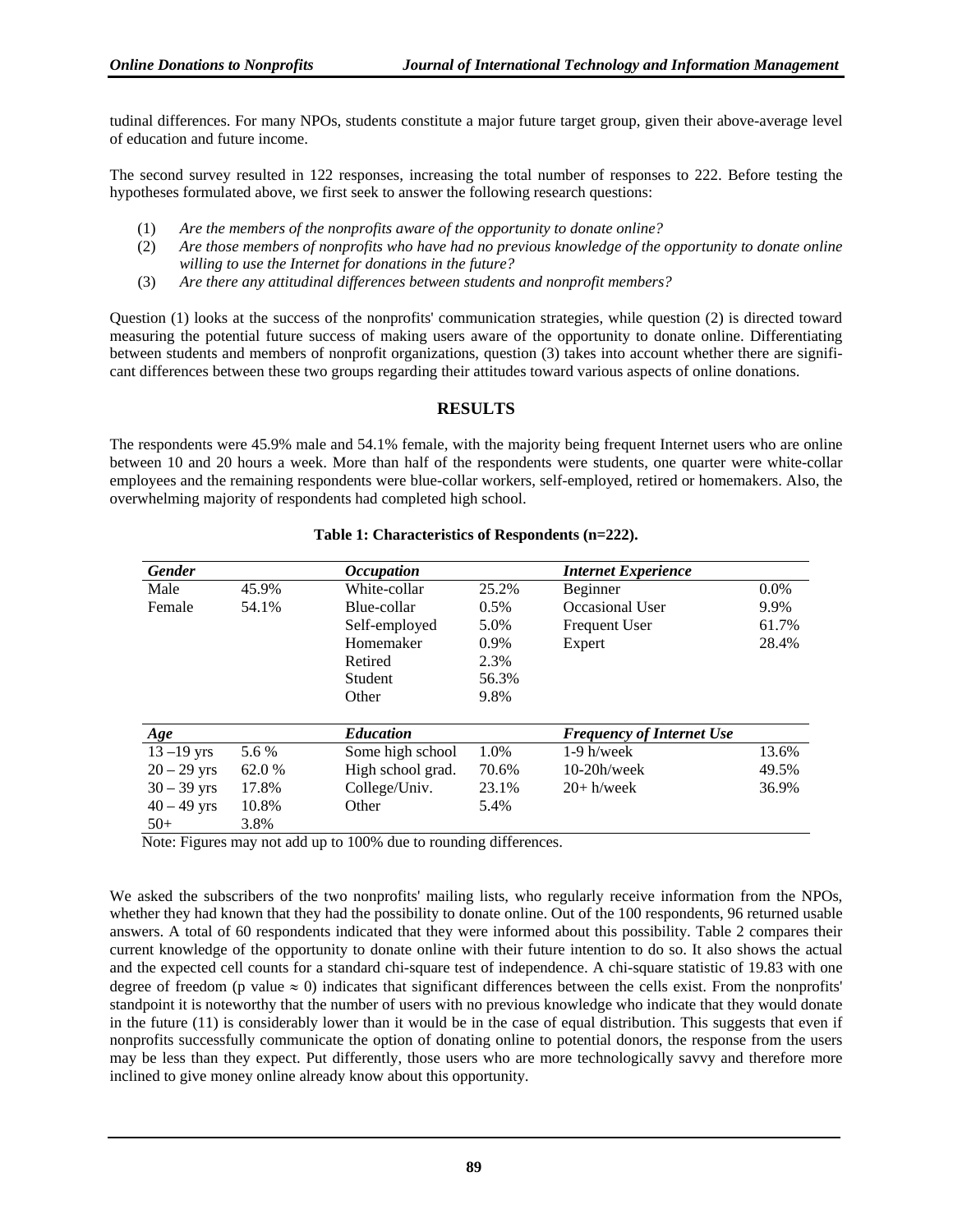tudinal differences. For many NPOs, students constitute a major future target group, given their above-average level of education and future income.

The second survey resulted in 122 responses, increasing the total number of responses to 222. Before testing the hypotheses formulated above, we first seek to answer the following research questions:

- (1) *Are the members of the nonprofits aware of the opportunity to donate online?*
- (2) *Are those members of nonprofits who have had no previous knowledge of the opportunity to donate online willing to use the Internet for donations in the future?*
- (3) *Are there any attitudinal differences between students and nonprofit members?*

Question (1) looks at the success of the nonprofits' communication strategies, while question (2) is directed toward measuring the potential future success of making users aware of the opportunity to donate online. Differentiating between students and members of nonprofit organizations, question (3) takes into account whether there are significant differences between these two groups regarding their attitudes toward various aspects of online donations.

#### **RESULTS**

The respondents were 45.9% male and 54.1% female, with the majority being frequent Internet users who are online between 10 and 20 hours a week. More than half of the respondents were students, one quarter were white-collar employees and the remaining respondents were blue-collar workers, self-employed, retired or homemakers. Also, the overwhelming majority of respondents had completed high school.

| <b>Gender</b> |        | <i><b>Occupation</b></i> |         | <b>Internet Experience</b>       |         |
|---------------|--------|--------------------------|---------|----------------------------------|---------|
| Male          | 45.9%  | White-collar             | 25.2%   | Beginner                         | $0.0\%$ |
| Female        | 54.1%  | Blue-collar              | $0.5\%$ | Occasional User                  | 9.9%    |
|               |        | Self-employed            | 5.0%    | Frequent User                    | 61.7%   |
|               |        | Homemaker                | 0.9%    | Expert                           | 28.4%   |
|               |        | Retired                  | 2.3%    |                                  |         |
|               |        | Student                  | 56.3%   |                                  |         |
|               |        | Other                    | 9.8%    |                                  |         |
| Age           |        | <b>Education</b>         |         | <b>Frequency of Internet Use</b> |         |
| $13 - 19$ yrs | 5.6 %  | Some high school         | 1.0%    | $1-9$ h/week                     | 13.6%   |
| $20 - 29$ yrs | 62.0 % | High school grad.        | 70.6%   | $10-20h$ /week                   | 49.5%   |
| $30 - 39$ yrs | 17.8%  | College/Univ.            | 23.1%   | $20+ h$ /week                    | 36.9%   |
| $40 - 49$ yrs | 10.8%  | Other                    | 5.4%    |                                  |         |
| $50+$         | 3.8%   |                          |         |                                  |         |

#### **Table 1: Characteristics of Respondents (n=222).**

Note: Figures may not add up to 100% due to rounding differences.

We asked the subscribers of the two nonprofits' mailing lists, who regularly receive information from the NPOs, whether they had known that they had the possibility to donate online. Out of the 100 respondents, 96 returned usable answers. A total of 60 respondents indicated that they were informed about this possibility. Table 2 compares their current knowledge of the opportunity to donate online with their future intention to do so. It also shows the actual and the expected cell counts for a standard chi-square test of independence. A chi-square statistic of 19.83 with one degree of freedom (p value  $\approx$  0) indicates that significant differences between the cells exist. From the nonprofits' standpoint it is noteworthy that the number of users with no previous knowledge who indicate that they would donate in the future (11) is considerably lower than it would be in the case of equal distribution. This suggests that even if nonprofits successfully communicate the option of donating online to potential donors, the response from the users may be less than they expect. Put differently, those users who are more technologically savvy and therefore more inclined to give money online already know about this opportunity.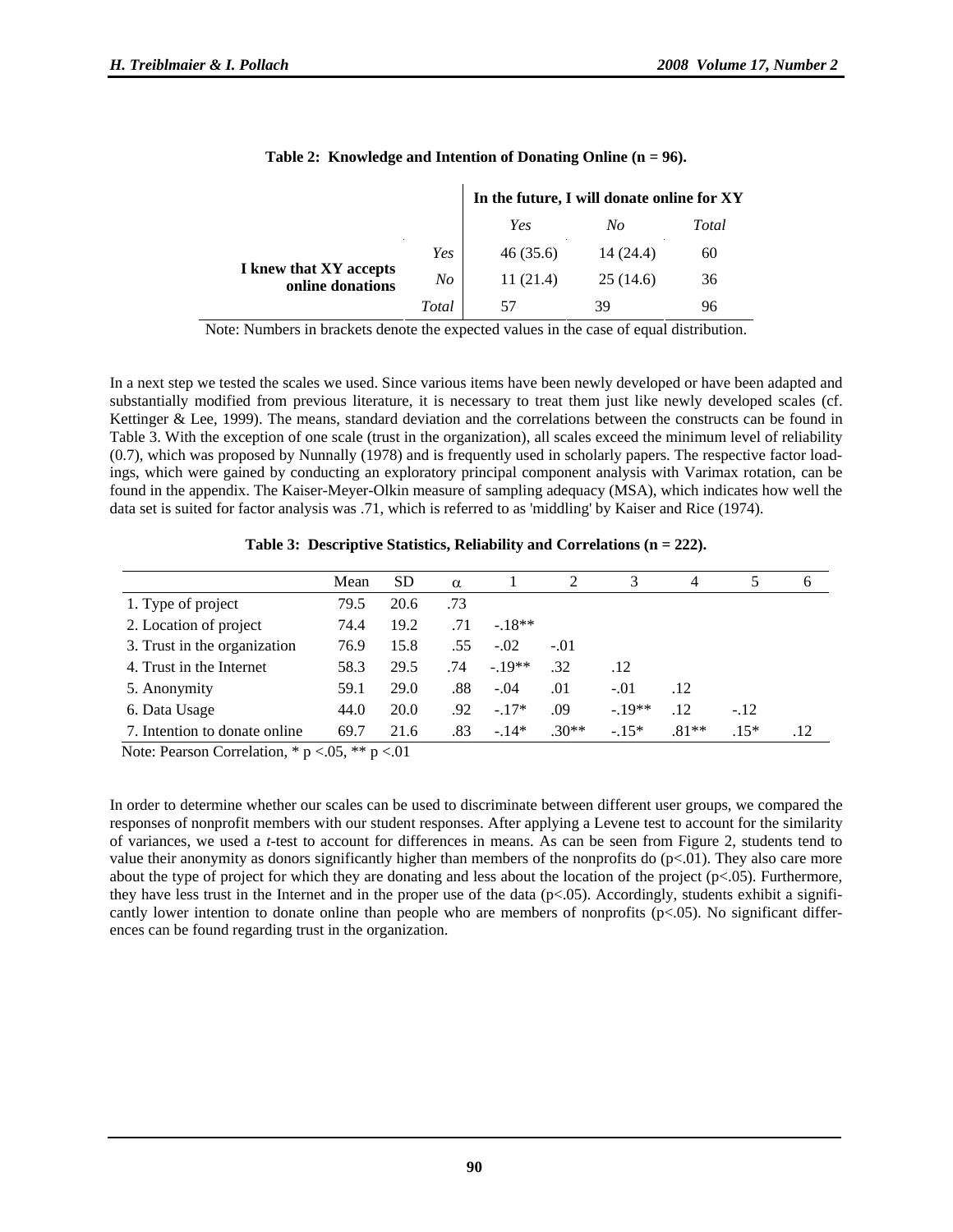|                                            |       | In the future, I will donate online for XY |           |       |  |  |  |
|--------------------------------------------|-------|--------------------------------------------|-----------|-------|--|--|--|
|                                            |       | Yes                                        | No        | Total |  |  |  |
|                                            | Yes   | 46(35.6)                                   | 14 (24.4) | 60    |  |  |  |
| I knew that XY accepts<br>online donations | No    | 11(21.4)                                   | 25(14.6)  | 36    |  |  |  |
|                                            | Total | 57                                         | 39        | 96    |  |  |  |

|  | Table 2: Knowledge and Intention of Donating Online $(n = 96)$ . |  |  |
|--|------------------------------------------------------------------|--|--|
|  |                                                                  |  |  |

Note: Numbers in brackets denote the expected values in the case of equal distribution.

In a next step we tested the scales we used. Since various items have been newly developed or have been adapted and substantially modified from previous literature, it is necessary to treat them just like newly developed scales (cf. Kettinger & Lee, 1999). The means, standard deviation and the correlations between the constructs can be found in Table 3. With the exception of one scale (trust in the organization), all scales exceed the minimum level of reliability (0.7), which was proposed by Nunnally (1978) and is frequently used in scholarly papers. The respective factor loadings, which were gained by conducting an exploratory principal component analysis with Varimax rotation, can be found in the appendix. The Kaiser-Meyer-Olkin measure of sampling adequacy (MSA), which indicates how well the data set is suited for factor analysis was .71, which is referred to as 'middling' by Kaiser and Rice (1974).

|  |  |  |  |  | Table 3: Descriptive Statistics, Reliability and Correlations ( $n = 222$ ). |  |  |
|--|--|--|--|--|------------------------------------------------------------------------------|--|--|
|--|--|--|--|--|------------------------------------------------------------------------------|--|--|

|                               | Mean | SD.  | $\alpha$         |          |         | 3       | 4       |        | 6   |
|-------------------------------|------|------|------------------|----------|---------|---------|---------|--------|-----|
| 1. Type of project            | 79.5 | 20.6 | .73              |          |         |         |         |        |     |
| 2. Location of project        | 74.4 | 19.2 | .71              | $-.18**$ |         |         |         |        |     |
| 3. Trust in the organization  | 76.9 | 15.8 | .55              | $-.02$   | $-.01$  |         |         |        |     |
| 4. Trust in the Internet      | 58.3 | 29.5 | .74              | $-19**$  | .32     | .12     |         |        |     |
| 5. Anonymity                  | 59.1 | 29.0 | .88              | $-.04$   | .01     | $-.01$  | .12     |        |     |
| 6. Data Usage                 | 44.0 | 20.0 | .92 <sub>1</sub> | $-.17*$  | .09     | $-19**$ | .12     | $-.12$ |     |
| 7. Intention to donate online | 69.7 | 21.6 | .83              | $-14*$   | $.30**$ | $-.15*$ | $.81**$ | $.15*$ | .12 |
|                               |      |      |                  |          |         |         |         |        |     |

Note: Pearson Correlation,  $* p < .05$ ,  $** p < .01$ 

In order to determine whether our scales can be used to discriminate between different user groups, we compared the responses of nonprofit members with our student responses. After applying a Levene test to account for the similarity of variances, we used a *t*-test to account for differences in means. As can be seen from Figure 2, students tend to value their anonymity as donors significantly higher than members of the nonprofits do  $(p<01)$ . They also care more about the type of project for which they are donating and less about the location of the project ( $p<.05$ ). Furthermore, they have less trust in the Internet and in the proper use of the data  $(p<0.05)$ . Accordingly, students exhibit a significantly lower intention to donate online than people who are members of nonprofits  $(p<.05)$ . No significant differences can be found regarding trust in the organization.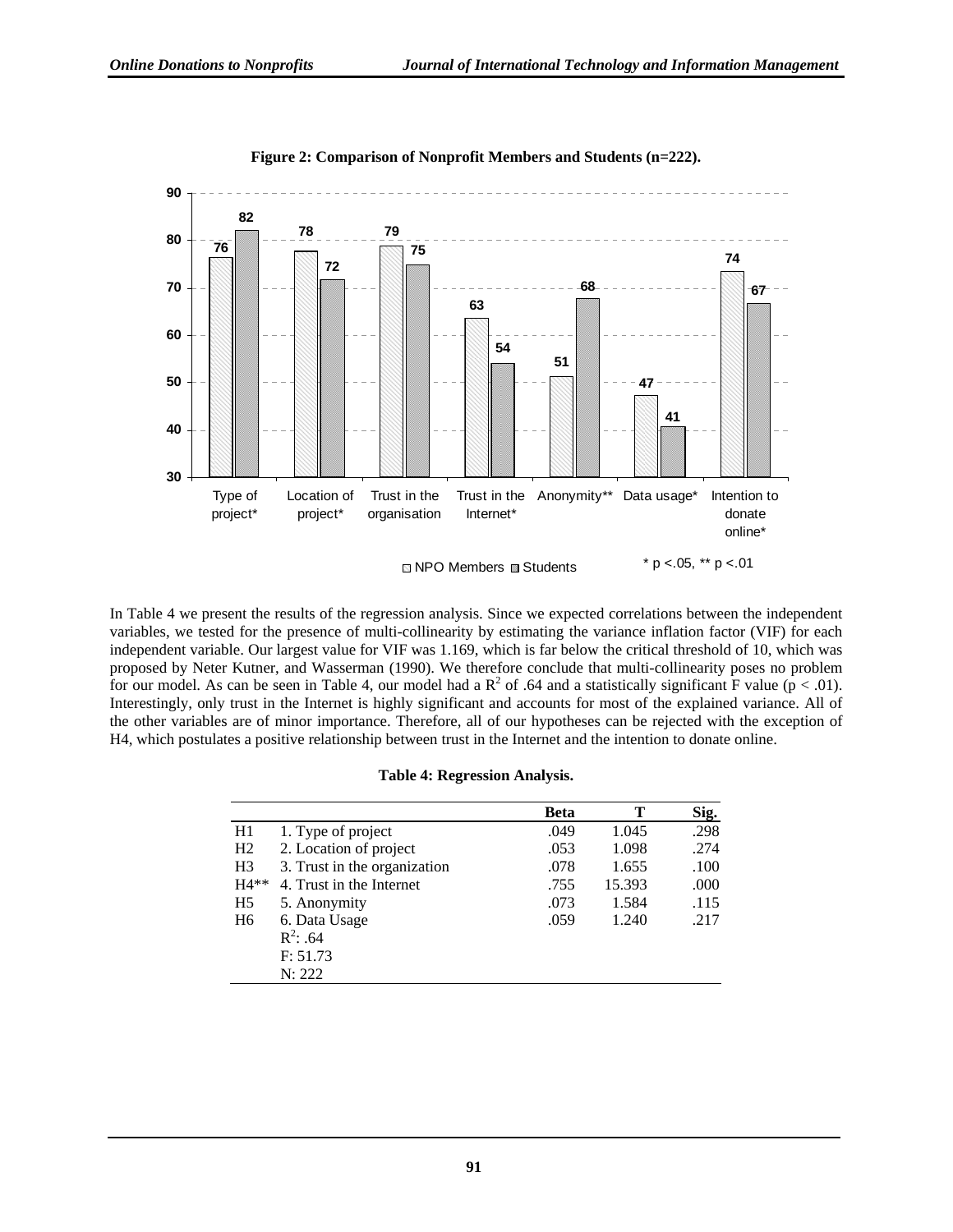

**Figure 2: Comparison of Nonprofit Members and Students (n=222).** 

In Table 4 we present the results of the regression analysis. Since we expected correlations between the independent variables, we tested for the presence of multi-collinearity by estimating the variance inflation factor (VIF) for each independent variable. Our largest value for VIF was 1.169, which is far below the critical threshold of 10, which was proposed by Neter Kutner, and Wasserman (1990). We therefore conclude that multi-collinearity poses no problem for our model. As can be seen in Table 4, our model had a  $R^2$  of .64 and a statistically significant F value ( $p < .01$ ). Interestingly, only trust in the Internet is highly significant and accounts for most of the explained variance. All of the other variables are of minor importance. Therefore, all of our hypotheses can be rejected with the exception of H4, which postulates a positive relationship between trust in the Internet and the intention to donate online.

#### **Table 4: Regression Analysis.**

|                |                              | <b>Beta</b> | т      | Sig. |
|----------------|------------------------------|-------------|--------|------|
| H1             | 1. Type of project           | .049        | 1.045  | .298 |
| H2             | 2. Location of project       | .053        | 1.098  | .274 |
| H <sub>3</sub> | 3. Trust in the organization | .078        | 1.655  | .100 |
| $H4**$         | 4. Trust in the Internet     | .755        | 15.393 | .000 |
| H <sub>5</sub> | 5. Anonymity                 | .073        | 1.584  | .115 |
| H <sub>6</sub> | 6. Data Usage                | .059        | 1.240  | .217 |
|                | $R^2$ : .64                  |             |        |      |
|                | F: 51.73                     |             |        |      |
|                | N: 222                       |             |        |      |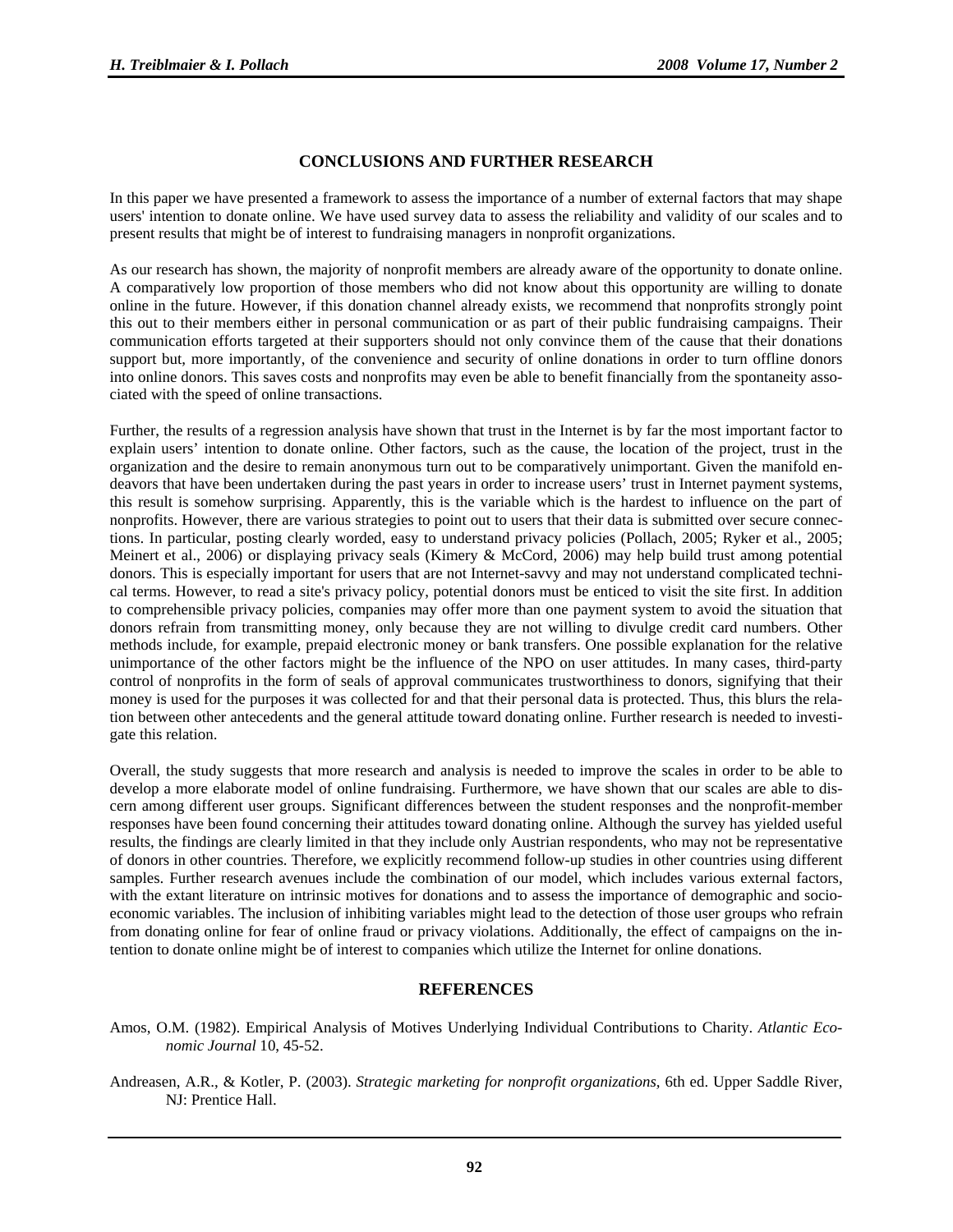## **CONCLUSIONS AND FURTHER RESEARCH**

In this paper we have presented a framework to assess the importance of a number of external factors that may shape users' intention to donate online. We have used survey data to assess the reliability and validity of our scales and to present results that might be of interest to fundraising managers in nonprofit organizations.

As our research has shown, the majority of nonprofit members are already aware of the opportunity to donate online. A comparatively low proportion of those members who did not know about this opportunity are willing to donate online in the future. However, if this donation channel already exists, we recommend that nonprofits strongly point this out to their members either in personal communication or as part of their public fundraising campaigns. Their communication efforts targeted at their supporters should not only convince them of the cause that their donations support but, more importantly, of the convenience and security of online donations in order to turn offline donors into online donors. This saves costs and nonprofits may even be able to benefit financially from the spontaneity associated with the speed of online transactions.

Further, the results of a regression analysis have shown that trust in the Internet is by far the most important factor to explain users' intention to donate online. Other factors, such as the cause, the location of the project, trust in the organization and the desire to remain anonymous turn out to be comparatively unimportant. Given the manifold endeavors that have been undertaken during the past years in order to increase users' trust in Internet payment systems, this result is somehow surprising. Apparently, this is the variable which is the hardest to influence on the part of nonprofits. However, there are various strategies to point out to users that their data is submitted over secure connections. In particular, posting clearly worded, easy to understand privacy policies (Pollach, 2005; Ryker et al., 2005; Meinert et al., 2006) or displaying privacy seals (Kimery & McCord, 2006) may help build trust among potential donors. This is especially important for users that are not Internet-savvy and may not understand complicated technical terms. However, to read a site's privacy policy, potential donors must be enticed to visit the site first. In addition to comprehensible privacy policies, companies may offer more than one payment system to avoid the situation that donors refrain from transmitting money, only because they are not willing to divulge credit card numbers. Other methods include, for example, prepaid electronic money or bank transfers. One possible explanation for the relative unimportance of the other factors might be the influence of the NPO on user attitudes. In many cases, third-party control of nonprofits in the form of seals of approval communicates trustworthiness to donors, signifying that their money is used for the purposes it was collected for and that their personal data is protected. Thus, this blurs the relation between other antecedents and the general attitude toward donating online. Further research is needed to investigate this relation.

Overall, the study suggests that more research and analysis is needed to improve the scales in order to be able to develop a more elaborate model of online fundraising. Furthermore, we have shown that our scales are able to discern among different user groups. Significant differences between the student responses and the nonprofit-member responses have been found concerning their attitudes toward donating online. Although the survey has yielded useful results, the findings are clearly limited in that they include only Austrian respondents, who may not be representative of donors in other countries. Therefore, we explicitly recommend follow-up studies in other countries using different samples. Further research avenues include the combination of our model, which includes various external factors, with the extant literature on intrinsic motives for donations and to assess the importance of demographic and socioeconomic variables. The inclusion of inhibiting variables might lead to the detection of those user groups who refrain from donating online for fear of online fraud or privacy violations. Additionally, the effect of campaigns on the intention to donate online might be of interest to companies which utilize the Internet for online donations.

#### **REFERENCES**

- Amos, O.M. (1982). Empirical Analysis of Motives Underlying Individual Contributions to Charity. *Atlantic Economic Journal* 10, 45-52.
- Andreasen, A.R., & Kotler, P. (2003). *Strategic marketing for nonprofit organizations,* 6th ed. Upper Saddle River, NJ: Prentice Hall.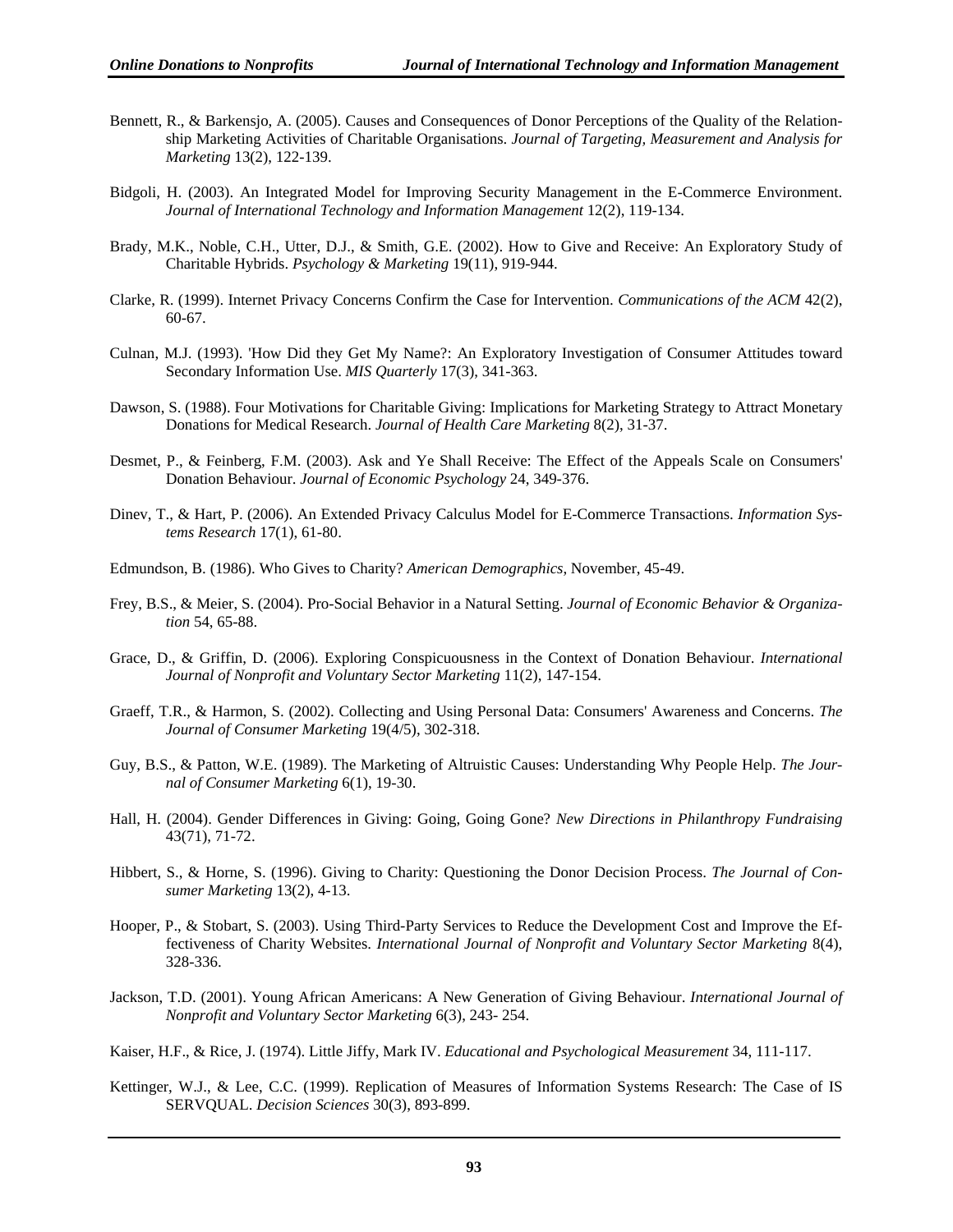- Bennett, R., & Barkensjo, A. (2005). Causes and Consequences of Donor Perceptions of the Quality of the Relationship Marketing Activities of Charitable Organisations. *Journal of Targeting, Measurement and Analysis for Marketing* 13(2), 122-139.
- Bidgoli, H. (2003). An Integrated Model for Improving Security Management in the E-Commerce Environment. *Journal of International Technology and Information Management* 12(2), 119-134.
- Brady, M.K., Noble, C.H., Utter, D.J., & Smith, G.E. (2002). How to Give and Receive: An Exploratory Study of Charitable Hybrids. *Psychology & Marketing* 19(11), 919-944.
- Clarke, R. (1999). Internet Privacy Concerns Confirm the Case for Intervention. *Communications of the ACM* 42(2), 60-67.
- Culnan, M.J. (1993). 'How Did they Get My Name?: An Exploratory Investigation of Consumer Attitudes toward Secondary Information Use. *MIS Quarterly* 17(3), 341-363.
- Dawson, S. (1988). Four Motivations for Charitable Giving: Implications for Marketing Strategy to Attract Monetary Donations for Medical Research. *Journal of Health Care Marketing* 8(2), 31-37.
- Desmet, P., & Feinberg, F.M. (2003). Ask and Ye Shall Receive: The Effect of the Appeals Scale on Consumers' Donation Behaviour. *Journal of Economic Psychology* 24, 349-376.
- Dinev, T., & Hart, P. (2006). An Extended Privacy Calculus Model for E-Commerce Transactions. *Information Systems Research* 17(1), 61-80.
- Edmundson, B. (1986). Who Gives to Charity? *American Demographics*, November, 45-49.
- Frey, B.S., & Meier, S. (2004). Pro-Social Behavior in a Natural Setting. *Journal of Economic Behavior & Organization* 54, 65-88.
- Grace, D., & Griffin, D. (2006). Exploring Conspicuousness in the Context of Donation Behaviour. *International Journal of Nonprofit and Voluntary Sector Marketing* 11(2), 147-154.
- Graeff, T.R., & Harmon, S. (2002). Collecting and Using Personal Data: Consumers' Awareness and Concerns. *The Journal of Consumer Marketing* 19(4/5), 302-318.
- Guy, B.S., & Patton, W.E. (1989). The Marketing of Altruistic Causes: Understanding Why People Help. *The Journal of Consumer Marketing* 6(1), 19-30.
- Hall, H. (2004). Gender Differences in Giving: Going, Going Gone? *New Directions in Philanthropy Fundraising* 43(71), 71-72.
- Hibbert, S., & Horne, S. (1996). Giving to Charity: Questioning the Donor Decision Process. *The Journal of Consumer Marketing* 13(2), 4-13.
- Hooper, P., & Stobart, S. (2003). Using Third-Party Services to Reduce the Development Cost and Improve the Effectiveness of Charity Websites. *International Journal of Nonprofit and Voluntary Sector Marketing* 8(4), 328-336.
- Jackson, T.D. (2001). Young African Americans: A New Generation of Giving Behaviour. *International Journal of Nonprofit and Voluntary Sector Marketing* 6(3), 243- 254.

Kaiser, H.F., & Rice, J. (1974). Little Jiffy, Mark IV. *Educational and Psychological Measurement* 34, 111-117.

Kettinger, W.J., & Lee, C.C. (1999). Replication of Measures of Information Systems Research: The Case of IS SERVQUAL. *Decision Sciences* 30(3), 893-899.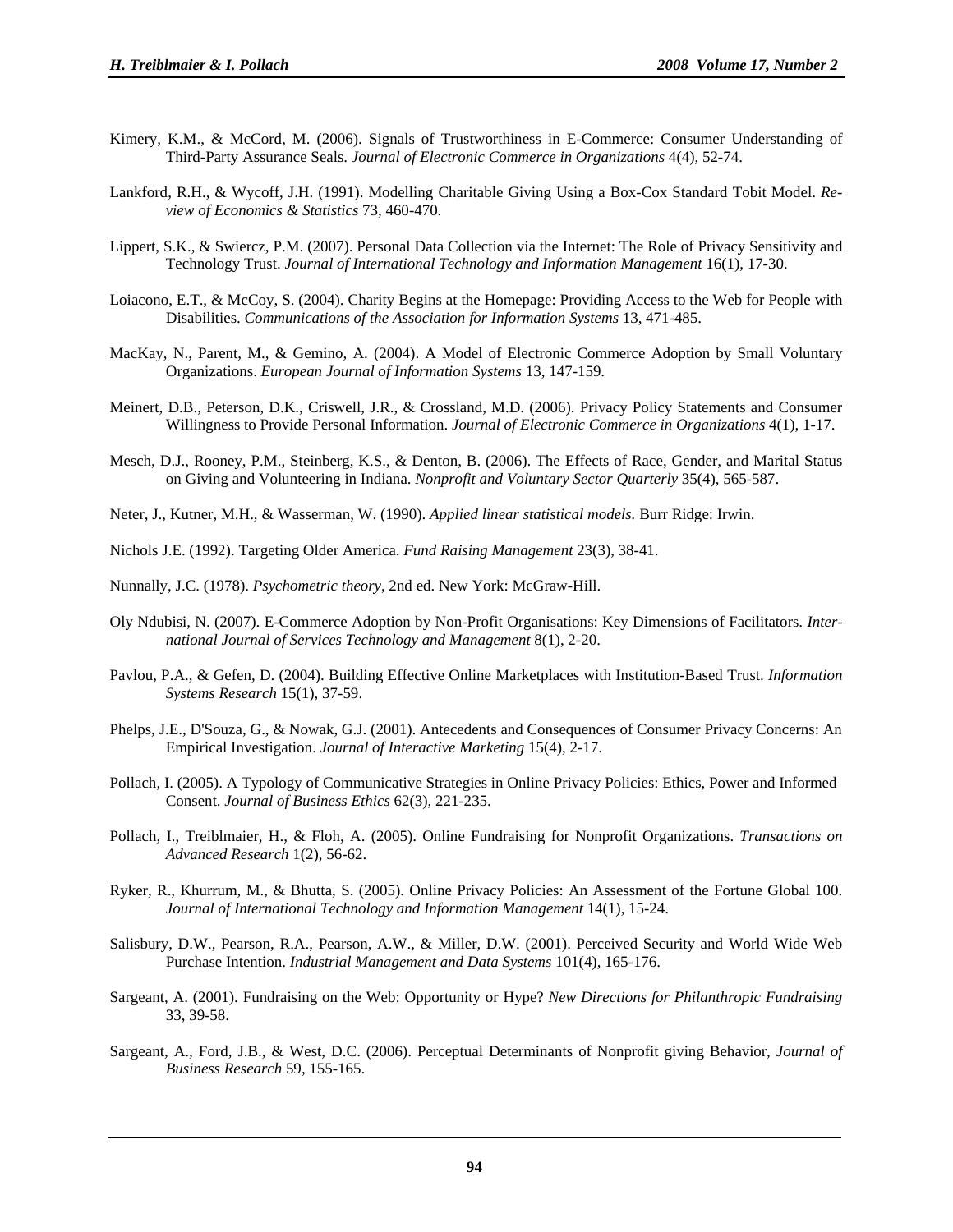- Kimery, K.M., & McCord, M. (2006). Signals of Trustworthiness in E-Commerce: Consumer Understanding of Third-Party Assurance Seals. *Journal of Electronic Commerce in Organizations* 4(4), 52-74.
- Lankford, R.H., & Wycoff, J.H. (1991). Modelling Charitable Giving Using a Box-Cox Standard Tobit Model. *Review of Economics & Statistics* 73, 460-470.
- Lippert, S.K., & Swiercz, P.M. (2007). Personal Data Collection via the Internet: The Role of Privacy Sensitivity and Technology Trust. *Journal of International Technology and Information Management* 16(1), 17-30.
- Loiacono, E.T., & McCoy, S. (2004). Charity Begins at the Homepage: Providing Access to the Web for People with Disabilities. *Communications of the Association for Information Systems* 13, 471-485.
- MacKay, N., Parent, M., & Gemino, A. (2004). A Model of Electronic Commerce Adoption by Small Voluntary Organizations. *European Journal of Information Systems* 13, 147-159.
- Meinert, D.B., Peterson, D.K., Criswell, J.R., & Crossland, M.D. (2006). Privacy Policy Statements and Consumer Willingness to Provide Personal Information. *Journal of Electronic Commerce in Organizations* 4(1), 1-17.
- Mesch, D.J., Rooney, P.M., Steinberg, K.S., & Denton, B. (2006). The Effects of Race, Gender, and Marital Status on Giving and Volunteering in Indiana. *Nonprofit and Voluntary Sector Quarterly* 35(4), 565-587.
- Neter, J., Kutner, M.H., & Wasserman, W. (1990). *Applied linear statistical models.* Burr Ridge: Irwin.
- Nichols J.E. (1992). Targeting Older America. *Fund Raising Management* 23(3), 38-41.
- Nunnally, J.C. (1978). *Psychometric theory*, 2nd ed. New York: McGraw-Hill.
- Oly Ndubisi, N. (2007). E-Commerce Adoption by Non-Profit Organisations: Key Dimensions of Facilitators. *International Journal of Services Technology and Management* 8(1), 2-20.
- Pavlou, P.A., & Gefen, D. (2004). Building Effective Online Marketplaces with Institution-Based Trust. *Information Systems Research* 15(1), 37-59.
- Phelps, J.E., D'Souza, G., & Nowak, G.J. (2001). Antecedents and Consequences of Consumer Privacy Concerns: An Empirical Investigation. *Journal of Interactive Marketing* 15(4), 2-17.
- Pollach, I. (2005). A Typology of Communicative Strategies in Online Privacy Policies: Ethics, Power and Informed Consent. *Journal of Business Ethics* 62(3), 221-235.
- Pollach, I., Treiblmaier, H., & Floh, A. (2005). Online Fundraising for Nonprofit Organizations. *Transactions on Advanced Research* 1(2), 56-62.
- Ryker, R., Khurrum, M., & Bhutta, S. (2005). Online Privacy Policies: An Assessment of the Fortune Global 100. *Journal of International Technology and Information Management* 14(1), 15-24.
- Salisbury, D.W., Pearson, R.A., Pearson, A.W., & Miller, D.W. (2001). Perceived Security and World Wide Web Purchase Intention. *Industrial Management and Data Systems* 101(4), 165-176.
- Sargeant, A. (2001). Fundraising on the Web: Opportunity or Hype? *New Directions for Philanthropic Fundraising* 33, 39-58.
- Sargeant, A., Ford, J.B., & West, D.C. (2006). Perceptual Determinants of Nonprofit giving Behavior, *Journal of Business Research* 59, 155-165.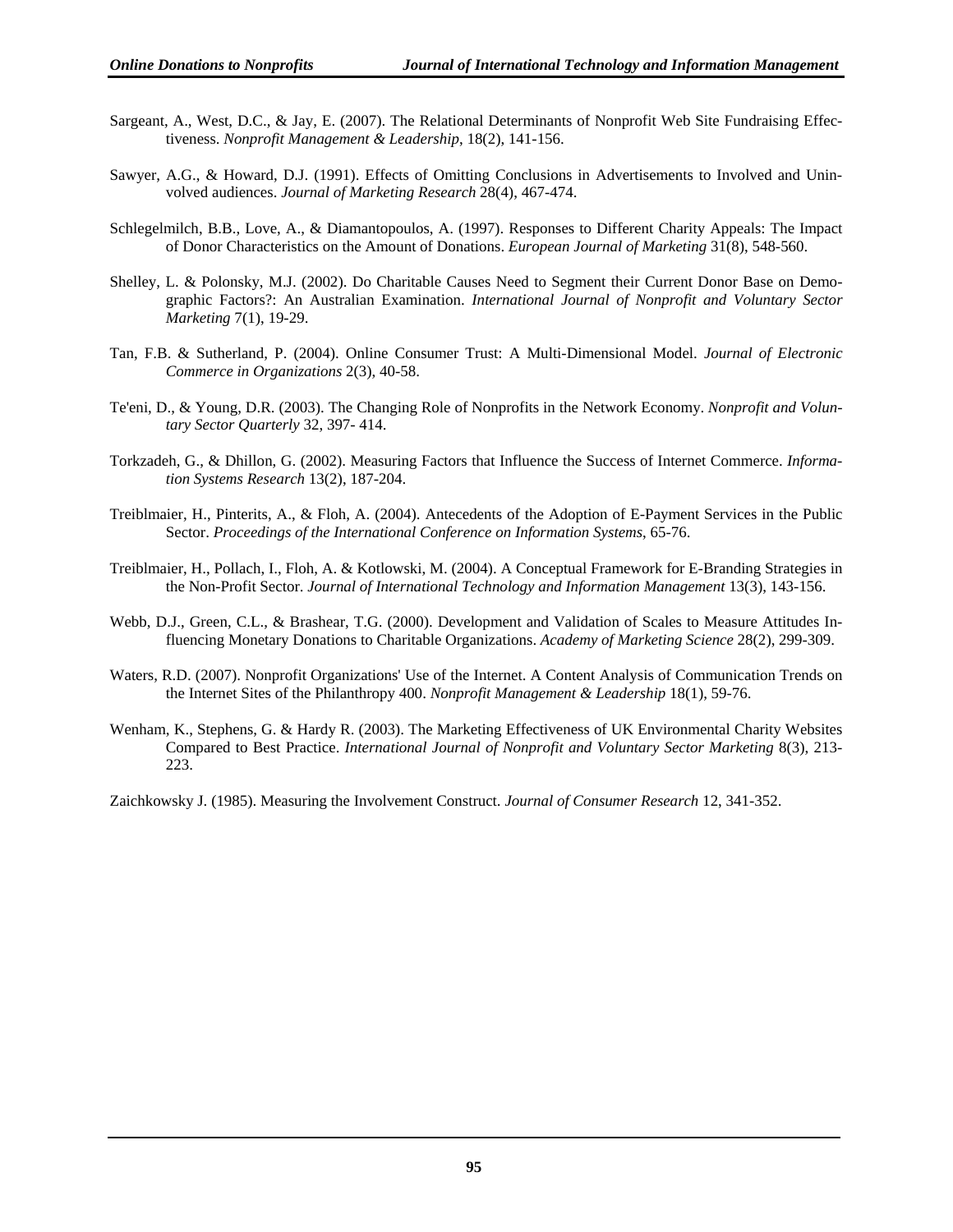- Sargeant, A., West, D.C., & Jay, E. (2007). The Relational Determinants of Nonprofit Web Site Fundraising Effectiveness. *Nonprofit Management & Leadership*, 18(2), 141-156.
- Sawyer, A.G., & Howard, D.J. (1991). Effects of Omitting Conclusions in Advertisements to Involved and Uninvolved audiences. *Journal of Marketing Research* 28(4), 467-474.
- Schlegelmilch, B.B., Love, A., & Diamantopoulos, A. (1997). Responses to Different Charity Appeals: The Impact of Donor Characteristics on the Amount of Donations. *European Journal of Marketing* 31(8), 548-560.
- Shelley, L. & Polonsky, M.J. (2002). Do Charitable Causes Need to Segment their Current Donor Base on Demographic Factors?: An Australian Examination. *[International Journal of Nonprofit and Voluntary Sector](http://www.ingentaconnect.com/content/jws/vsm;jsessionid=o1qkrp92hwun.victoria)  [Marketing](http://www.ingentaconnect.com/content/jws/vsm;jsessionid=o1qkrp92hwun.victoria)* 7(1), 19-29.
- Tan, F.B. & Sutherland, P. (2004). Online Consumer Trust: A Multi-Dimensional Model. *Journal of Electronic Commerce in Organizations* 2(3), 40-58.
- Te'eni, D., & Young, D.R. (2003). The Changing Role of Nonprofits in the Network Economy. *Nonprofit and Voluntary Sector Quarterly* 32, 397- 414.
- Torkzadeh, G., & Dhillon, G. (2002). Measuring Factors that Influence the Success of Internet Commerce. *Information Systems Research* 13(2), 187-204.
- Treiblmaier, H., Pinterits, A., & Floh, A. (2004). Antecedents of the Adoption of E-Payment Services in the Public Sector. *Proceedings of the International Conference on Information Systems*, 65-76.
- Treiblmaier, H., Pollach, I., Floh, A. & Kotlowski, M. (2004). A Conceptual Framework for E-Branding Strategies in the Non-Profit Sector. *Journal of International Technology and Information Management* 13(3), 143-156.
- Webb, D.J., Green, C.L., & Brashear, T.G. (2000). Development and Validation of Scales to Measure Attitudes Influencing Monetary Donations to Charitable Organizations. *Academy of Marketing Science* 28(2), 299-309.
- Waters, R.D. (2007). Nonprofit Organizations' Use of the Internet. A Content Analysis of Communication Trends on the Internet Sites of the Philanthropy 400. *Nonprofit Management & Leadership* 18(1), 59-76.
- Wenham, K., Stephens, G. & Hardy R. (2003). The Marketing Effectiveness of UK Environmental Charity Websites Compared to Best Practice. *International Journal of Nonprofit and Voluntary Sector Marketing* 8(3), 213- 223.

Zaichkowsky J. (1985). Measuring the Involvement Construct. *Journal of Consumer Research* 12, 341-352.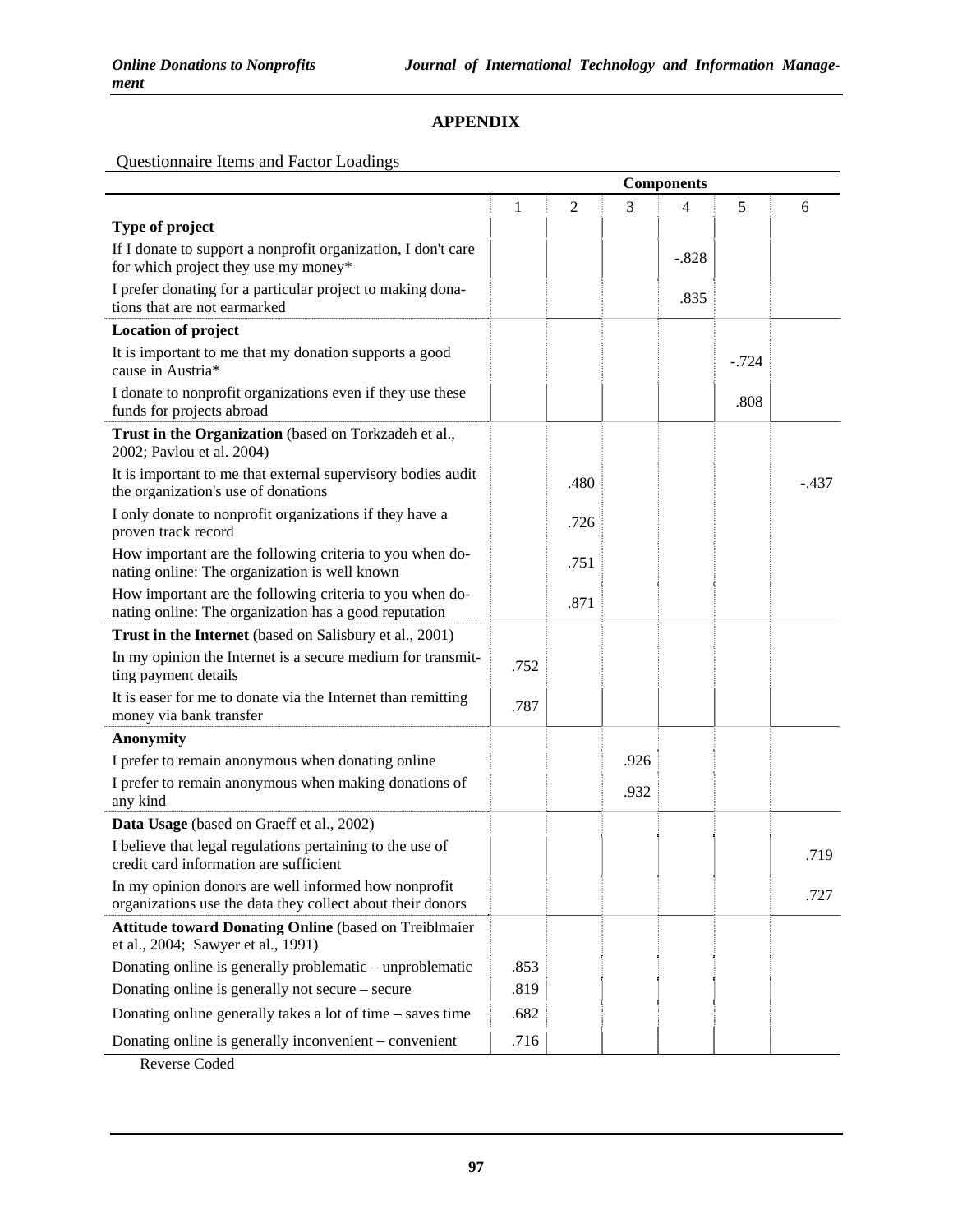## **APPENDIX**

Questionnaire Items and Factor Loadings

|                                                                                                                    |      |                |      | <b>Components</b> |         |         |
|--------------------------------------------------------------------------------------------------------------------|------|----------------|------|-------------------|---------|---------|
|                                                                                                                    | 1    | $\overline{2}$ | 3    | 4                 | 5       | 6       |
| Type of project                                                                                                    |      |                |      |                   |         |         |
| If I donate to support a nonprofit organization, I don't care<br>for which project they use my money*              |      |                |      | $-.828$           |         |         |
| I prefer donating for a particular project to making dona-<br>tions that are not earmarked                         |      |                |      | .835              |         |         |
| <b>Location of project</b>                                                                                         |      |                |      |                   |         |         |
| It is important to me that my donation supports a good<br>cause in Austria*                                        |      |                |      |                   | $-.724$ |         |
| I donate to nonprofit organizations even if they use these<br>funds for projects abroad                            |      |                |      |                   | .808    |         |
| Trust in the Organization (based on Torkzadeh et al.,<br>2002; Pavlou et al. 2004)                                 |      |                |      |                   |         |         |
| It is important to me that external supervisory bodies audit<br>the organization's use of donations                |      | .480           |      |                   |         | $-.437$ |
| I only donate to nonprofit organizations if they have a<br>proven track record                                     |      | .726           |      |                   |         |         |
| How important are the following criteria to you when do-<br>nating online: The organization is well known          |      | .751           |      |                   |         |         |
| How important are the following criteria to you when do-<br>nating online: The organization has a good reputation  |      | .871           |      |                   |         |         |
| Trust in the Internet (based on Salisbury et al., 2001)                                                            |      |                |      |                   |         |         |
| In my opinion the Internet is a secure medium for transmit-<br>ting payment details                                | .752 |                |      |                   |         |         |
| It is easer for me to donate via the Internet than remitting<br>money via bank transfer                            | .787 |                |      |                   |         |         |
| <b>Anonymity</b>                                                                                                   |      |                |      |                   |         |         |
| I prefer to remain anonymous when donating online                                                                  |      |                | .926 |                   |         |         |
| I prefer to remain anonymous when making donations of<br>any kind                                                  |      |                | .932 |                   |         |         |
| Data Usage (based on Graeff et al., 2002)                                                                          |      |                |      |                   |         |         |
| I believe that legal regulations pertaining to the use of<br>credit card information are sufficient                |      |                |      |                   |         | .719    |
| In my opinion donors are well informed how nonprofit<br>organizations use the data they collect about their donors |      |                |      |                   |         | .727    |
| <b>Attitude toward Donating Online (based on Treiblmaier</b><br>et al., 2004; Sawyer et al., 1991)                 |      |                |      |                   |         |         |
| Donating online is generally problematic - unproblematic                                                           | .853 |                |      |                   |         |         |
| Donating online is generally not secure – secure                                                                   | .819 |                |      |                   |         |         |
| Donating online generally takes a lot of time – saves time                                                         | .682 |                |      |                   |         |         |
| Donating online is generally inconvenient - convenient                                                             | .716 |                |      |                   |         |         |

Reverse Coded